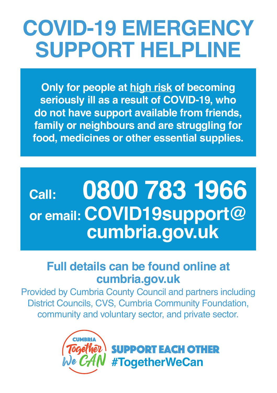# **COVID-19 EMERGENCY SUPPORT HELPLINE**

**Only for people at high risk of becoming seriously ill as a result of COVID-19, who do not have support available from friends, family or neighbours and are struggling for food, medicines or other essential supplies.**

## **Call: 0800 783 1966 or email: COVID19support@ cumbria.gov.uk**

## **Full details can be found online at cumbria.gov.uk**

Provided by Cumbria County Council and partners including District Councils, CVS, Cumbria Community Foundation, community and voluntary sector, and private sector.